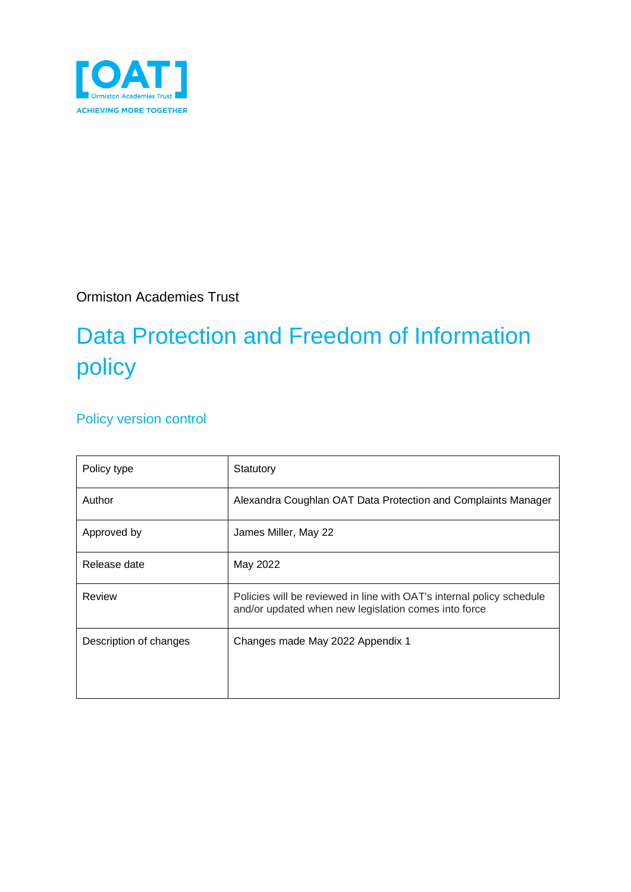

Ormiston Academies Trust

# Data Protection and Freedom of Information policy

#### Policy version control

| Policy type            | Statutory                                                                                                                     |
|------------------------|-------------------------------------------------------------------------------------------------------------------------------|
| Author                 | Alexandra Coughlan OAT Data Protection and Complaints Manager                                                                 |
| Approved by            | James Miller, May 22                                                                                                          |
| Release date           | May 2022                                                                                                                      |
| Review                 | Policies will be reviewed in line with OAT's internal policy schedule<br>and/or updated when new legislation comes into force |
| Description of changes | Changes made May 2022 Appendix 1                                                                                              |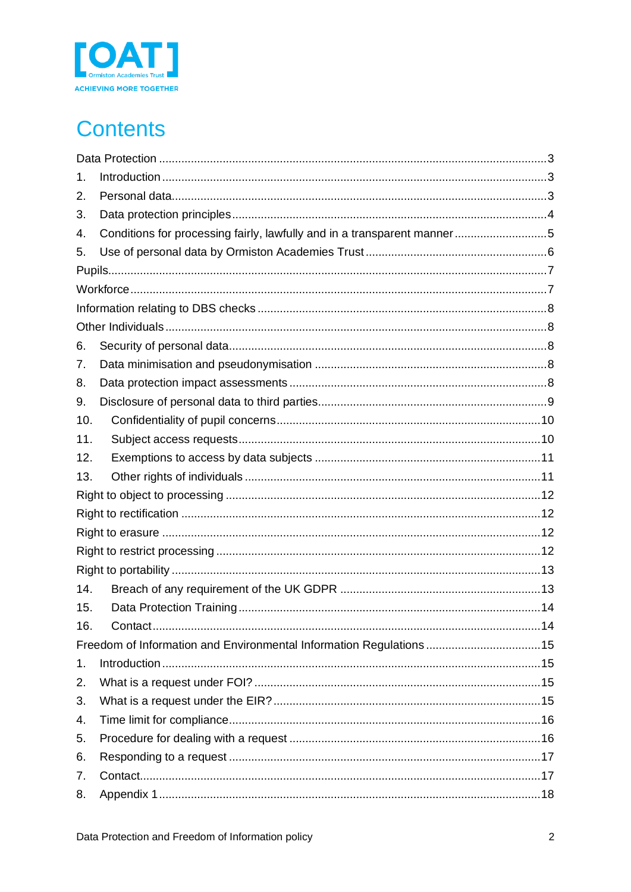

# **Contents**

| 1.  |                                                                         |  |
|-----|-------------------------------------------------------------------------|--|
| 2.  |                                                                         |  |
| 3.  |                                                                         |  |
| 4.  | Conditions for processing fairly, lawfully and in a transparent manner5 |  |
| 5.  |                                                                         |  |
|     |                                                                         |  |
|     |                                                                         |  |
|     |                                                                         |  |
|     |                                                                         |  |
| 6.  |                                                                         |  |
| 7.  |                                                                         |  |
| 8.  |                                                                         |  |
| 9.  |                                                                         |  |
| 10. |                                                                         |  |
| 11. |                                                                         |  |
| 12. |                                                                         |  |
| 13. |                                                                         |  |
|     |                                                                         |  |
|     |                                                                         |  |
|     |                                                                         |  |
|     |                                                                         |  |
|     |                                                                         |  |
| 14. |                                                                         |  |
| 15. |                                                                         |  |
| 16. |                                                                         |  |
|     | Freedom of Information and Environmental Information Regulations  15    |  |
| 1.  |                                                                         |  |
| 2.  |                                                                         |  |
| 3.  |                                                                         |  |
| 4.  |                                                                         |  |
| 5.  |                                                                         |  |
| 6.  |                                                                         |  |
| 7.  |                                                                         |  |
| 8.  |                                                                         |  |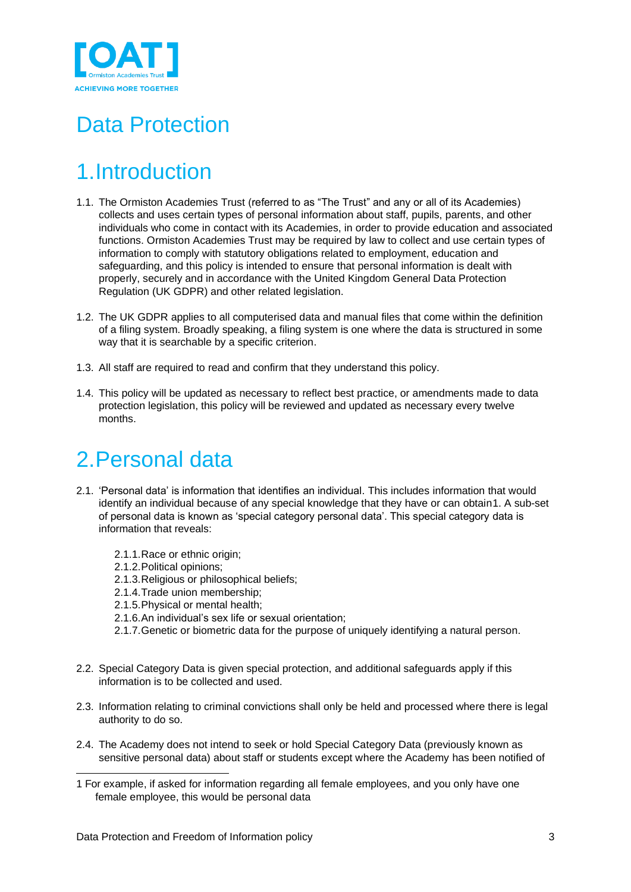

## <span id="page-2-0"></span>Data Protection

## <span id="page-2-1"></span>1.Introduction

- 1.1. The Ormiston Academies Trust (referred to as "The Trust" and any or all of its Academies) collects and uses certain types of personal information about staff, pupils, parents, and other individuals who come in contact with its Academies, in order to provide education and associated functions. Ormiston Academies Trust may be required by law to collect and use certain types of information to comply with statutory obligations related to employment, education and safeguarding, and this policy is intended to ensure that personal information is dealt with properly, securely and in accordance with the United Kingdom General Data Protection Regulation (UK GDPR) and other related legislation.
- 1.2. The UK GDPR applies to all computerised data and manual files that come within the definition of a filing system. Broadly speaking, a filing system is one where the data is structured in some way that it is searchable by a specific criterion.
- 1.3. All staff are required to read and confirm that they understand this policy.
- 1.4. This policy will be updated as necessary to reflect best practice, or amendments made to data protection legislation, this policy will be reviewed and updated as necessary every twelve months.

### <span id="page-2-2"></span>2.Personal data

- 2.1. 'Personal data' is information that identifies an individual. This includes information that would identify an individual because of any special knowledge that they have or can obtain1. A sub-set of personal data is known as 'special category personal data'. This special category data is information that reveals:
	- 2.1.1.Race or ethnic origin;
	- 2.1.2.Political opinions;
	- 2.1.3.Religious or philosophical beliefs;
	- 2.1.4.Trade union membership;
	- 2.1.5.Physical or mental health;
	- 2.1.6.An individual's sex life or sexual orientation;
	- 2.1.7.Genetic or biometric data for the purpose of uniquely identifying a natural person.
- 2.2. Special Category Data is given special protection, and additional safeguards apply if this information is to be collected and used.
- 2.3. Information relating to criminal convictions shall only be held and processed where there is legal authority to do so.
- 2.4. The Academy does not intend to seek or hold Special Category Data (previously known as sensitive personal data) about staff or students except where the Academy has been notified of

<sup>1</sup> For example, if asked for information regarding all female employees, and you only have one female employee, this would be personal data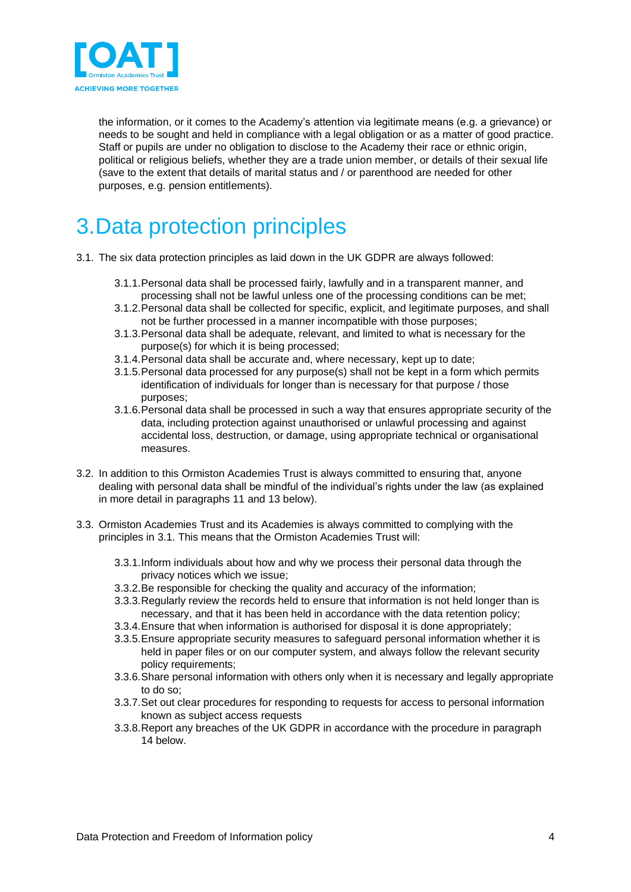

the information, or it comes to the Academy's attention via legitimate means (e.g. a grievance) or needs to be sought and held in compliance with a legal obligation or as a matter of good practice. Staff or pupils are under no obligation to disclose to the Academy their race or ethnic origin, political or religious beliefs, whether they are a trade union member, or details of their sexual life (save to the extent that details of marital status and / or parenthood are needed for other purposes, e.g. pension entitlements).

## <span id="page-3-0"></span>3.Data protection principles

- 3.1. The six data protection principles as laid down in the UK GDPR are always followed:
	- 3.1.1.Personal data shall be processed fairly, lawfully and in a transparent manner, and processing shall not be lawful unless one of the processing conditions can be met;
	- 3.1.2.Personal data shall be collected for specific, explicit, and legitimate purposes, and shall not be further processed in a manner incompatible with those purposes;
	- 3.1.3.Personal data shall be adequate, relevant, and limited to what is necessary for the purpose(s) for which it is being processed;
	- 3.1.4.Personal data shall be accurate and, where necessary, kept up to date;
	- 3.1.5.Personal data processed for any purpose(s) shall not be kept in a form which permits identification of individuals for longer than is necessary for that purpose / those purposes;
	- 3.1.6.Personal data shall be processed in such a way that ensures appropriate security of the data, including protection against unauthorised or unlawful processing and against accidental loss, destruction, or damage, using appropriate technical or organisational measures.
- 3.2. In addition to this Ormiston Academies Trust is always committed to ensuring that, anyone dealing with personal data shall be mindful of the individual's rights under the law (as explained in more detail in paragraphs 11 and 13 below).
- 3.3. Ormiston Academies Trust and its Academies is always committed to complying with the principles in 3.1. This means that the Ormiston Academies Trust will:
	- 3.3.1.Inform individuals about how and why we process their personal data through the privacy notices which we issue;
	- 3.3.2.Be responsible for checking the quality and accuracy of the information;
	- 3.3.3.Regularly review the records held to ensure that information is not held longer than is necessary, and that it has been held in accordance with the data retention policy;
	- 3.3.4.Ensure that when information is authorised for disposal it is done appropriately;
	- 3.3.5.Ensure appropriate security measures to safeguard personal information whether it is held in paper files or on our computer system, and always follow the relevant security policy requirements;
	- 3.3.6.Share personal information with others only when it is necessary and legally appropriate to do so;
	- 3.3.7.Set out clear procedures for responding to requests for access to personal information known as subject access requests
	- 3.3.8.Report any breaches of the UK GDPR in accordance with the procedure in paragraph 14 below.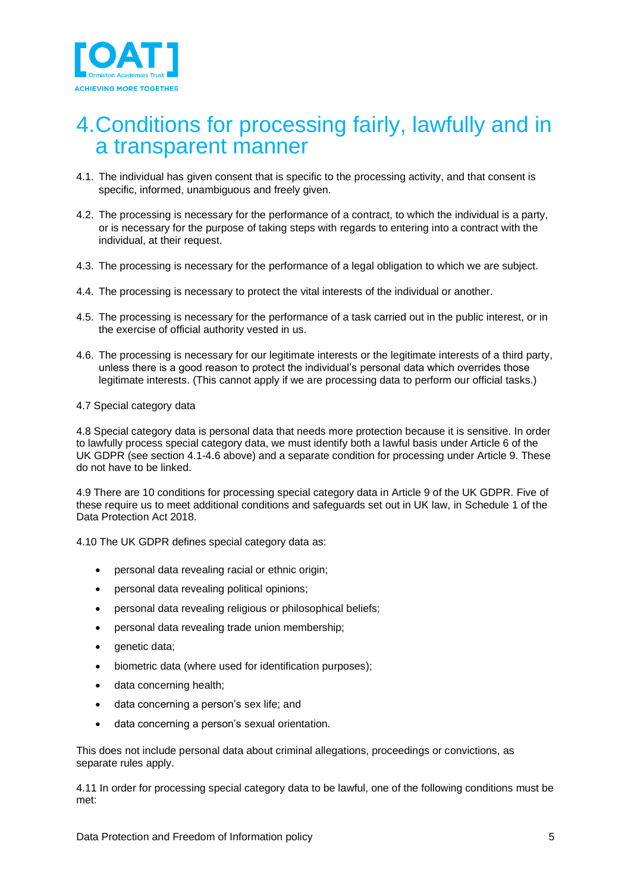

#### <span id="page-4-0"></span>4.Conditions for processing fairly, lawfully and in a transparent manner

- 4.1. The individual has given consent that is specific to the processing activity, and that consent is specific, informed, unambiguous and freely given.
- 4.2. The processing is necessary for the performance of a contract, to which the individual is a party, or is necessary for the purpose of taking steps with regards to entering into a contract with the individual, at their request.
- 4.3. The processing is necessary for the performance of a legal obligation to which we are subject.
- 4.4. The processing is necessary to protect the vital interests of the individual or another.
- 4.5. The processing is necessary for the performance of a task carried out in the public interest, or in the exercise of official authority vested in us.
- 4.6. The processing is necessary for our legitimate interests or the legitimate interests of a third party, unless there is a good reason to protect the individual's personal data which overrides those legitimate interests. (This cannot apply if we are processing data to perform our official tasks.)

#### 4.7 Special category data

4.8 Special category data is personal data that needs more protection because it is sensitive. In order to lawfully process special category data, we must identify both a lawful basis under Article 6 of the UK GDPR (see section 4.1-4.6 above) and a separate condition for processing under Article 9. These do not have to be linked.

4.9 There are 10 conditions for processing special category data in Article 9 of the UK GDPR. Five of these require us to meet additional conditions and safeguards set out in UK law, in Schedule 1 of the Data Protection Act 2018.

4.10 The UK GDPR defines special category data as:

- personal data revealing racial or ethnic origin;
- personal data revealing political opinions;
- personal data revealing religious or philosophical beliefs;
- personal data revealing trade union membership;
- genetic data;
- biometric data (where used for identification purposes);
- data concerning health;
- data concerning a person's sex life; and
- data concerning a person's sexual orientation.

This does not include personal data about criminal allegations, proceedings or convictions, as separate rules apply.

4.11 In order for processing special category data to be lawful, one of the following conditions must be met: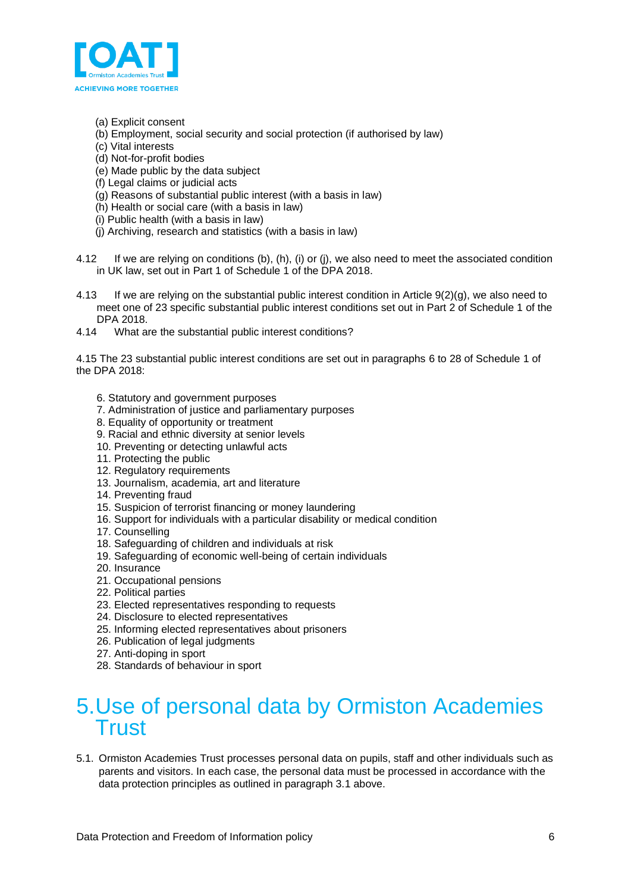

- (a) Explicit consent
- (b) Employment, social security and social protection (if authorised by law)
- (c) Vital interests
- (d) Not-for-profit bodies
- (e) Made public by the data subject
- (f) Legal claims or judicial acts
- (g) Reasons of substantial public interest (with a basis in law)
- (h) Health or social care (with a basis in law)
- (i) Public health (with a basis in law)
- (j) Archiving, research and statistics (with a basis in law)
- 4.12 If we are relying on conditions (b), (h), (i) or (j), we also need to meet the associated condition in UK law, set out in Part 1 of [Schedule 1 of the DPA 2018.](http://www.legislation.gov.uk/ukpga/2018/12/schedule/1/enacted)
- 4.13 If we are relying on the substantial public interest condition in Article 9(2)(g), we also need to meet one of 23 specific substantial public interest conditions set out in Part 2 of Schedule 1 of the DPA 2018.
- 4.14 What are the substantial public interest conditions?

4.15 The 23 substantial public interest conditions are set out in paragraphs 6 to 28 of Schedule 1 of the DPA 2018:

- 6. Statutory and government purposes
- 7. Administration of justice and parliamentary purposes
- 8. Equality of opportunity or treatment
- 9. Racial and ethnic diversity at senior levels
- 10. Preventing or detecting unlawful acts
- 11. Protecting the public
- 12. Regulatory requirements
- 13. Journalism, academia, art and literature
- 14. Preventing fraud
- 15. Suspicion of terrorist financing or money laundering
- 16. Support for individuals with a particular disability or medical condition
- 17. Counselling
- 18. Safeguarding of children and individuals at risk
- 19. Safeguarding of economic well-being of certain individuals
- 20. Insurance
- 21. Occupational pensions
- 22. Political parties
- 23. Elected representatives responding to requests
- 24. Disclosure to elected representatives
- 25. Informing elected representatives about prisoners
- 26. Publication of legal judgments
- 27. Anti-doping in sport
- 28. Standards of behaviour in sport

### <span id="page-5-0"></span>5.Use of personal data by Ormiston Academies **Trust**

5.1. Ormiston Academies Trust processes personal data on pupils, staff and other individuals such as parents and visitors. In each case, the personal data must be processed in accordance with the data protection principles as outlined in paragraph 3.1 above.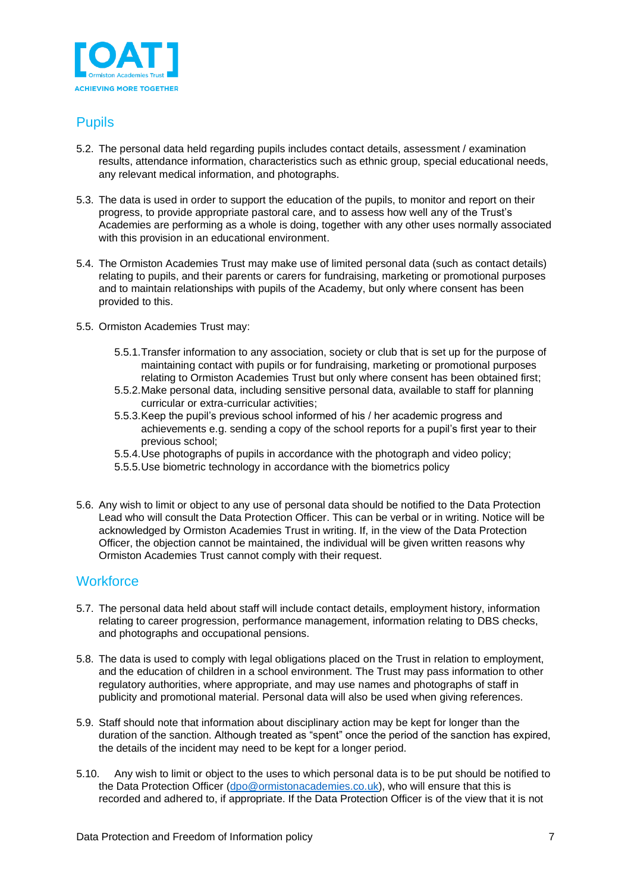

#### <span id="page-6-0"></span>Pupils

- 5.2. The personal data held regarding pupils includes contact details, assessment / examination results, attendance information, characteristics such as ethnic group, special educational needs, any relevant medical information, and photographs.
- 5.3. The data is used in order to support the education of the pupils, to monitor and report on their progress, to provide appropriate pastoral care, and to assess how well any of the Trust's Academies are performing as a whole is doing, together with any other uses normally associated with this provision in an educational environment.
- 5.4. The Ormiston Academies Trust may make use of limited personal data (such as contact details) relating to pupils, and their parents or carers for fundraising, marketing or promotional purposes and to maintain relationships with pupils of the Academy, but only where consent has been provided to this.
- 5.5. Ormiston Academies Trust may:
	- 5.5.1.Transfer information to any association, society or club that is set up for the purpose of maintaining contact with pupils or for fundraising, marketing or promotional purposes relating to Ormiston Academies Trust but only where consent has been obtained first;
	- 5.5.2.Make personal data, including sensitive personal data, available to staff for planning curricular or extra-curricular activities;
	- 5.5.3.Keep the pupil's previous school informed of his / her academic progress and achievements e.g. sending a copy of the school reports for a pupil's first year to their previous school;
	- 5.5.4.Use photographs of pupils in accordance with the photograph and video policy;
	- 5.5.5.Use biometric technology in accordance with the biometrics policy
- 5.6. Any wish to limit or object to any use of personal data should be notified to the Data Protection Lead who will consult the Data Protection Officer. This can be verbal or in writing. Notice will be acknowledged by Ormiston Academies Trust in writing. If, in the view of the Data Protection Officer, the objection cannot be maintained, the individual will be given written reasons why Ormiston Academies Trust cannot comply with their request.

#### <span id="page-6-1"></span>**Workforce**

- 5.7. The personal data held about staff will include contact details, employment history, information relating to career progression, performance management, information relating to DBS checks, and photographs and occupational pensions.
- 5.8. The data is used to comply with legal obligations placed on the Trust in relation to employment, and the education of children in a school environment. The Trust may pass information to other regulatory authorities, where appropriate, and may use names and photographs of staff in publicity and promotional material. Personal data will also be used when giving references.
- 5.9. Staff should note that information about disciplinary action may be kept for longer than the duration of the sanction. Although treated as "spent" once the period of the sanction has expired, the details of the incident may need to be kept for a longer period.
- 5.10. Any wish to limit or object to the uses to which personal data is to be put should be notified to the Data Protection Officer [\(dpo@ormistonacademies.co.uk\)](mailto:dpo@ormistonacademies.co.uk), who will ensure that this is recorded and adhered to, if appropriate. If the Data Protection Officer is of the view that it is not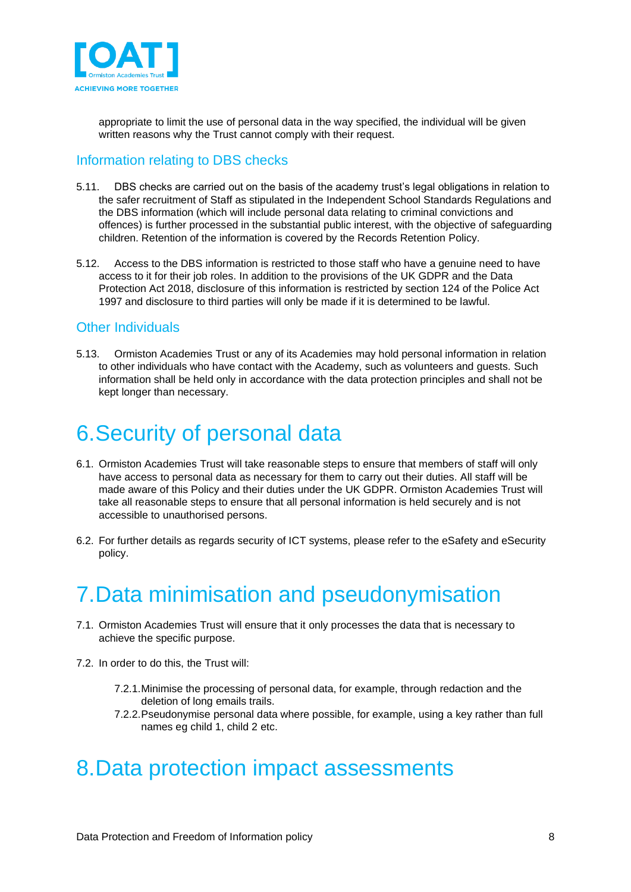

appropriate to limit the use of personal data in the way specified, the individual will be given written reasons why the Trust cannot comply with their request.

#### <span id="page-7-0"></span>Information relating to DBS checks

- 5.11. DBS checks are carried out on the basis of the academy trust's legal obligations in relation to the safer recruitment of Staff as stipulated in the Independent School Standards Regulations and the DBS information (which will include personal data relating to criminal convictions and offences) is further processed in the substantial public interest, with the objective of safeguarding children. Retention of the information is covered by the Records Retention Policy.
- 5.12. Access to the DBS information is restricted to those staff who have a genuine need to have access to it for their job roles. In addition to the provisions of the UK GDPR and the Data Protection Act 2018, disclosure of this information is restricted by section 124 of the Police Act 1997 and disclosure to third parties will only be made if it is determined to be lawful.

#### <span id="page-7-1"></span>Other Individuals

5.13. Ormiston Academies Trust or any of its Academies may hold personal information in relation to other individuals who have contact with the Academy, such as volunteers and guests. Such information shall be held only in accordance with the data protection principles and shall not be kept longer than necessary.

### <span id="page-7-2"></span>6.Security of personal data

- 6.1. Ormiston Academies Trust will take reasonable steps to ensure that members of staff will only have access to personal data as necessary for them to carry out their duties. All staff will be made aware of this Policy and their duties under the UK GDPR. Ormiston Academies Trust will take all reasonable steps to ensure that all personal information is held securely and is not accessible to unauthorised persons.
- 6.2. For further details as regards security of ICT systems, please refer to the eSafety and eSecurity policy.

### <span id="page-7-3"></span>7.Data minimisation and pseudonymisation

- 7.1. Ormiston Academies Trust will ensure that it only processes the data that is necessary to achieve the specific purpose.
- 7.2. In order to do this, the Trust will:
	- 7.2.1.Minimise the processing of personal data, for example, through redaction and the deletion of long emails trails.
	- 7.2.2.Pseudonymise personal data where possible, for example, using a key rather than full names eg child 1, child 2 etc.

### <span id="page-7-4"></span>8.Data protection impact assessments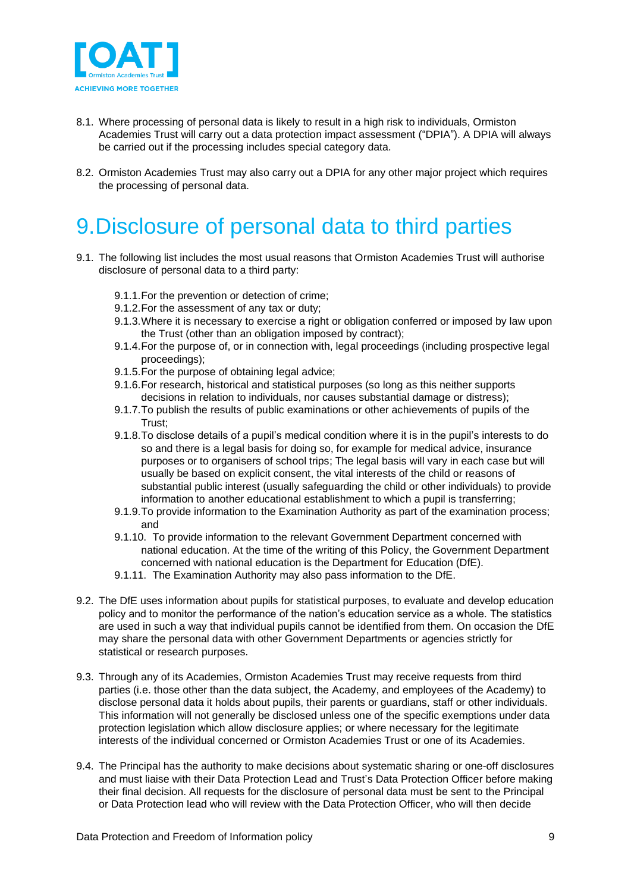

- 8.1. Where processing of personal data is likely to result in a high risk to individuals, Ormiston Academies Trust will carry out a data protection impact assessment ("DPIA"). A DPIA will always be carried out if the processing includes special category data.
- 8.2. Ormiston Academies Trust may also carry out a DPIA for any other major project which requires the processing of personal data.

## <span id="page-8-0"></span>9.Disclosure of personal data to third parties

- 9.1. The following list includes the most usual reasons that Ormiston Academies Trust will authorise disclosure of personal data to a third party:
	- 9.1.1.For the prevention or detection of crime;
	- 9.1.2.For the assessment of any tax or duty;
	- 9.1.3.Where it is necessary to exercise a right or obligation conferred or imposed by law upon the Trust (other than an obligation imposed by contract);
	- 9.1.4.For the purpose of, or in connection with, legal proceedings (including prospective legal proceedings);
	- 9.1.5.For the purpose of obtaining legal advice;
	- 9.1.6.For research, historical and statistical purposes (so long as this neither supports decisions in relation to individuals, nor causes substantial damage or distress);
	- 9.1.7.To publish the results of public examinations or other achievements of pupils of the Trust;
	- 9.1.8.To disclose details of a pupil's medical condition where it is in the pupil's interests to do so and there is a legal basis for doing so, for example for medical advice, insurance purposes or to organisers of school trips; The legal basis will vary in each case but will usually be based on explicit consent, the vital interests of the child or reasons of substantial public interest (usually safeguarding the child or other individuals) to provide information to another educational establishment to which a pupil is transferring;
	- 9.1.9.To provide information to the Examination Authority as part of the examination process; and
	- 9.1.10. To provide information to the relevant Government Department concerned with national education. At the time of the writing of this Policy, the Government Department concerned with national education is the Department for Education (DfE).
	- 9.1.11. The Examination Authority may also pass information to the DfE.
- 9.2. The DfE uses information about pupils for statistical purposes, to evaluate and develop education policy and to monitor the performance of the nation's education service as a whole. The statistics are used in such a way that individual pupils cannot be identified from them. On occasion the DfE may share the personal data with other Government Departments or agencies strictly for statistical or research purposes.
- 9.3. Through any of its Academies, Ormiston Academies Trust may receive requests from third parties (i.e. those other than the data subject, the Academy, and employees of the Academy) to disclose personal data it holds about pupils, their parents or guardians, staff or other individuals. This information will not generally be disclosed unless one of the specific exemptions under data protection legislation which allow disclosure applies; or where necessary for the legitimate interests of the individual concerned or Ormiston Academies Trust or one of its Academies.
- 9.4. The Principal has the authority to make decisions about systematic sharing or one-off disclosures and must liaise with their Data Protection Lead and Trust's Data Protection Officer before making their final decision. All requests for the disclosure of personal data must be sent to the Principal or Data Protection lead who will review with the Data Protection Officer, who will then decide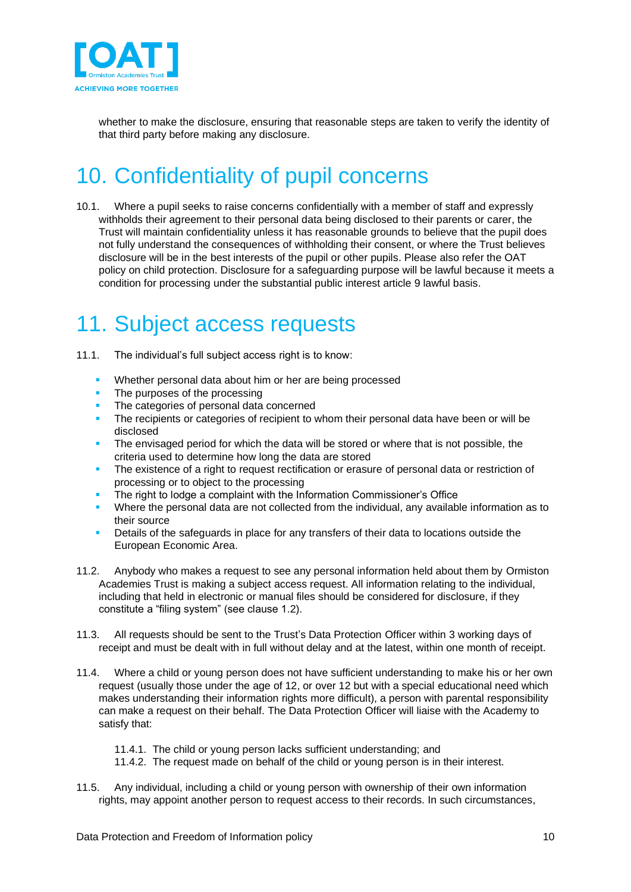

whether to make the disclosure, ensuring that reasonable steps are taken to verify the identity of that third party before making any disclosure.

## <span id="page-9-0"></span>10. Confidentiality of pupil concerns

10.1. Where a pupil seeks to raise concerns confidentially with a member of staff and expressly withholds their agreement to their personal data being disclosed to their parents or carer, the Trust will maintain confidentiality unless it has reasonable grounds to believe that the pupil does not fully understand the consequences of withholding their consent, or where the Trust believes disclosure will be in the best interests of the pupil or other pupils. Please also refer the OAT policy on child protection. Disclosure for a safeguarding purpose will be lawful because it meets a condition for processing under the substantial public interest article 9 lawful basis.

### <span id="page-9-1"></span>11. Subject access requests

- 11.1. The individual's full subject access right is to know:
	- Whether personal data about him or her are being processed
	- The purposes of the processing
	- The categories of personal data concerned
	- **•** The recipients or categories of recipient to whom their personal data have been or will be disclosed
	- **•** The envisaged period for which the data will be stored or where that is not possible, the criteria used to determine how long the data are stored
	- **•** The existence of a right to request rectification or erasure of personal data or restriction of processing or to object to the processing
	- **•** The right to lodge a complaint with the Information Commissioner's Office
	- Where the personal data are not collected from the individual, any available information as to their source
	- Details of the safeguards in place for any transfers of their data to locations outside the European Economic Area.
- 11.2. Anybody who makes a request to see any personal information held about them by Ormiston Academies Trust is making a subject access request. All information relating to the individual, including that held in electronic or manual files should be considered for disclosure, if they constitute a "filing system" (see clause 1.2).
- 11.3. All requests should be sent to the Trust's Data Protection Officer within 3 working days of receipt and must be dealt with in full without delay and at the latest, within one month of receipt.
- 11.4. Where a child or young person does not have sufficient understanding to make his or her own request (usually those under the age of 12, or over 12 but with a special educational need which makes understanding their information rights more difficult), a person with parental responsibility can make a request on their behalf. The Data Protection Officer will liaise with the Academy to satisfy that:

#### 11.4.1. The child or young person lacks sufficient understanding; and

- 11.4.2. The request made on behalf of the child or young person is in their interest.
- 11.5. Any individual, including a child or young person with ownership of their own information rights, may appoint another person to request access to their records. In such circumstances,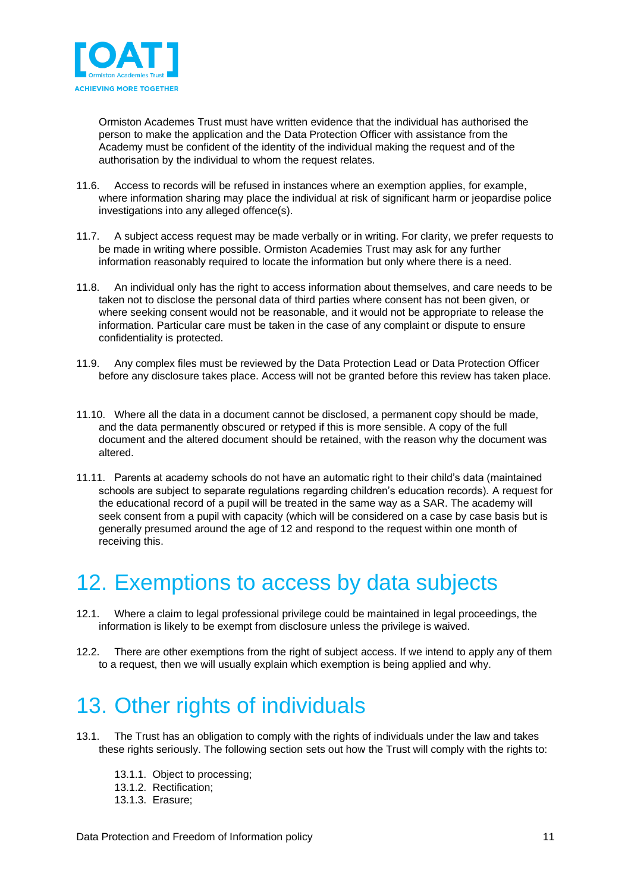

Ormiston Academes Trust must have written evidence that the individual has authorised the person to make the application and the Data Protection Officer with assistance from the Academy must be confident of the identity of the individual making the request and of the authorisation by the individual to whom the request relates.

- 11.6. Access to records will be refused in instances where an exemption applies, for example, where information sharing may place the individual at risk of significant harm or jeopardise police investigations into any alleged offence(s).
- 11.7. A subject access request may be made verbally or in writing. For clarity, we prefer requests to be made in writing where possible. Ormiston Academies Trust may ask for any further information reasonably required to locate the information but only where there is a need.
- 11.8. An individual only has the right to access information about themselves, and care needs to be taken not to disclose the personal data of third parties where consent has not been given, or where seeking consent would not be reasonable, and it would not be appropriate to release the information. Particular care must be taken in the case of any complaint or dispute to ensure confidentiality is protected.
- 11.9. Any complex files must be reviewed by the Data Protection Lead or Data Protection Officer before any disclosure takes place. Access will not be granted before this review has taken place.
- 11.10. Where all the data in a document cannot be disclosed, a permanent copy should be made, and the data permanently obscured or retyped if this is more sensible. A copy of the full document and the altered document should be retained, with the reason why the document was altered.
- 11.11. Parents at academy schools do not have an automatic right to their child's data (maintained schools are subject to separate regulations regarding children's education records). A request for the educational record of a pupil will be treated in the same way as a SAR. The academy will seek consent from a pupil with capacity (which will be considered on a case by case basis but is generally presumed around the age of 12 and respond to the request within one month of receiving this.

### <span id="page-10-0"></span>12. Exemptions to access by data subjects

- 12.1. Where a claim to legal professional privilege could be maintained in legal proceedings, the information is likely to be exempt from disclosure unless the privilege is waived.
- 12.2. There are other exemptions from the right of subject access. If we intend to apply any of them to a request, then we will usually explain which exemption is being applied and why.

## <span id="page-10-1"></span>13. Other rights of individuals

- 13.1. The Trust has an obligation to comply with the rights of individuals under the law and takes these rights seriously. The following section sets out how the Trust will comply with the rights to:
	- 13.1.1. Object to processing;
	- 13.1.2. Rectification;
	- 13.1.3. Erasure;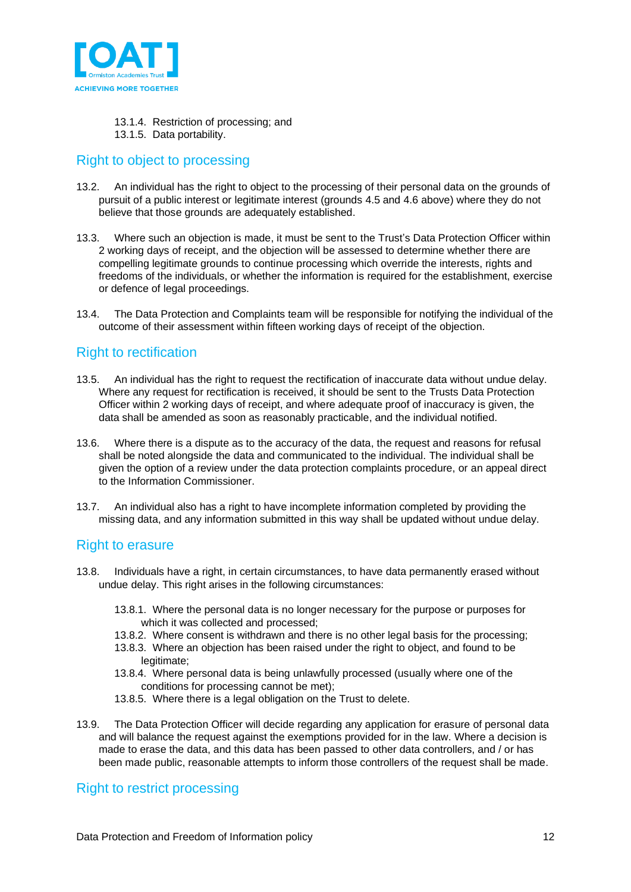

- 13.1.4. Restriction of processing; and
- 13.1.5. Data portability.

#### <span id="page-11-0"></span>Right to object to processing

- 13.2. An individual has the right to object to the processing of their personal data on the grounds of pursuit of a public interest or legitimate interest (grounds 4.5 and 4.6 above) where they do not believe that those grounds are adequately established.
- 13.3. Where such an objection is made, it must be sent to the Trust's Data Protection Officer within 2 working days of receipt, and the objection will be assessed to determine whether there are compelling legitimate grounds to continue processing which override the interests, rights and freedoms of the individuals, or whether the information is required for the establishment, exercise or defence of legal proceedings.
- 13.4. The Data Protection and Complaints team will be responsible for notifying the individual of the outcome of their assessment within fifteen working days of receipt of the objection.

#### <span id="page-11-1"></span>Right to rectification

- 13.5. An individual has the right to request the rectification of inaccurate data without undue delay. Where any request for rectification is received, it should be sent to the Trusts Data Protection Officer within 2 working days of receipt, and where adequate proof of inaccuracy is given, the data shall be amended as soon as reasonably practicable, and the individual notified.
- 13.6. Where there is a dispute as to the accuracy of the data, the request and reasons for refusal shall be noted alongside the data and communicated to the individual. The individual shall be given the option of a review under the data protection complaints procedure, or an appeal direct to the Information Commissioner.
- 13.7. An individual also has a right to have incomplete information completed by providing the missing data, and any information submitted in this way shall be updated without undue delay.

#### <span id="page-11-2"></span>Right to erasure

- 13.8. Individuals have a right, in certain circumstances, to have data permanently erased without undue delay. This right arises in the following circumstances:
	- 13.8.1. Where the personal data is no longer necessary for the purpose or purposes for which it was collected and processed;
	- 13.8.2. Where consent is withdrawn and there is no other legal basis for the processing;
	- 13.8.3. Where an objection has been raised under the right to object, and found to be legitimate:
	- 13.8.4. Where personal data is being unlawfully processed (usually where one of the conditions for processing cannot be met);
	- 13.8.5. Where there is a legal obligation on the Trust to delete.
- 13.9. The Data Protection Officer will decide regarding any application for erasure of personal data and will balance the request against the exemptions provided for in the law. Where a decision is made to erase the data, and this data has been passed to other data controllers, and / or has been made public, reasonable attempts to inform those controllers of the request shall be made.

#### <span id="page-11-3"></span>Right to restrict processing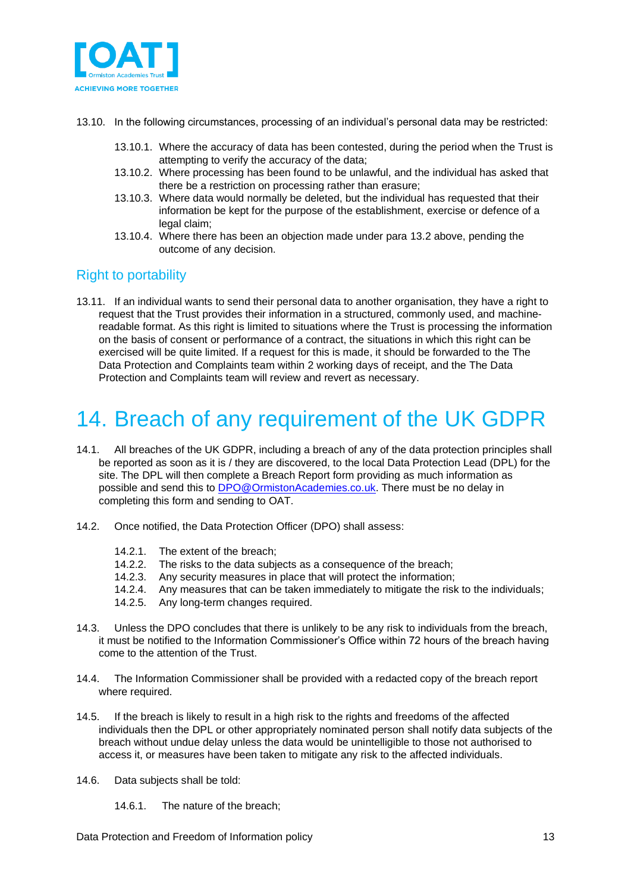

- 13.10. In the following circumstances, processing of an individual's personal data may be restricted:
	- 13.10.1. Where the accuracy of data has been contested, during the period when the Trust is attempting to verify the accuracy of the data;
	- 13.10.2. Where processing has been found to be unlawful, and the individual has asked that there be a restriction on processing rather than erasure;
	- 13.10.3. Where data would normally be deleted, but the individual has requested that their information be kept for the purpose of the establishment, exercise or defence of a legal claim;
	- 13.10.4. Where there has been an objection made under para 13.2 above, pending the outcome of any decision.

#### <span id="page-12-0"></span>Right to portability

13.11. If an individual wants to send their personal data to another organisation, they have a right to request that the Trust provides their information in a structured, commonly used, and machinereadable format. As this right is limited to situations where the Trust is processing the information on the basis of consent or performance of a contract, the situations in which this right can be exercised will be quite limited. If a request for this is made, it should be forwarded to the The Data Protection and Complaints team within 2 working days of receipt, and the The Data Protection and Complaints team will review and revert as necessary.

## <span id="page-12-1"></span>14. Breach of any requirement of the UK GDPR

- 14.1. All breaches of the UK GDPR, including a breach of any of the data protection principles shall be reported as soon as it is / they are discovered, to the local Data Protection Lead (DPL) for the site. The DPL will then complete a Breach Report form providing as much information as possible and send this to **DPO@OrmistonAcademies.co.uk**. There must be no delay in completing this form and sending to OAT.
- 14.2. Once notified, the Data Protection Officer (DPO) shall assess:
	- 14.2.1. The extent of the breach;
	- 14.2.2. The risks to the data subjects as a consequence of the breach;
	- 14.2.3. Any security measures in place that will protect the information;
	- 14.2.4. Any measures that can be taken immediately to mitigate the risk to the individuals;
	- 14.2.5. Any long-term changes required.
- 14.3. Unless the DPO concludes that there is unlikely to be any risk to individuals from the breach, it must be notified to the Information Commissioner's Office within 72 hours of the breach having come to the attention of the Trust.
- 14.4. The Information Commissioner shall be provided with a redacted copy of the breach report where required.
- 14.5. If the breach is likely to result in a high risk to the rights and freedoms of the affected individuals then the DPL or other appropriately nominated person shall notify data subjects of the breach without undue delay unless the data would be unintelligible to those not authorised to access it, or measures have been taken to mitigate any risk to the affected individuals.
- 14.6. Data subjects shall be told:
	- 14.6.1. The nature of the breach;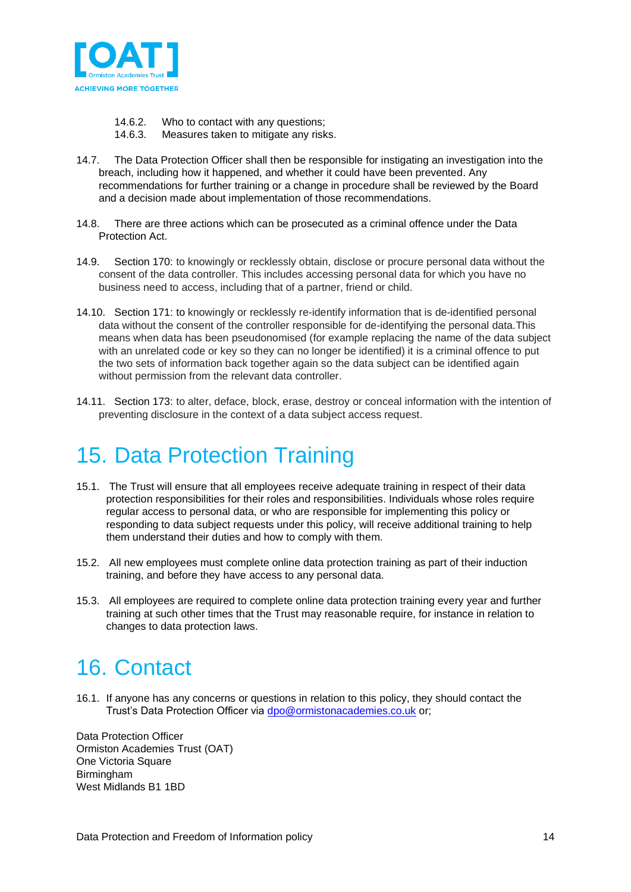

- 14.6.2. Who to contact with any questions;
- 14.6.3. Measures taken to mitigate any risks.
- 14.7. The Data Protection Officer shall then be responsible for instigating an investigation into the breach, including how it happened, and whether it could have been prevented. Any recommendations for further training or a change in procedure shall be reviewed by the Board and a decision made about implementation of those recommendations.
- 14.8. There are three actions which can be prosecuted as a criminal offence under the Data Protection Act.
- 14.9. Section 170: to knowingly or recklessly obtain, disclose or procure personal data without the consent of the data controller. This includes accessing personal data for which you have no business need to access, including that of a partner, friend or child.
- 14.10. Section 171: to knowingly or recklessly re-identify information that is de-identified personal data without the consent of the controller responsible for de-identifying the personal data.This means when data has been pseudonomised (for example replacing the name of the data subject with an unrelated code or key so they can no longer be identified) it is a criminal offence to put the two sets of information back together again so the data subject can be identified again without permission from the relevant data controller.
- 14.11. Section 173: to alter, deface, block, erase, destroy or conceal information with the intention of preventing disclosure in the context of a data subject access request.

### <span id="page-13-0"></span>15. Data Protection Training

- 15.1. The Trust will ensure that all employees receive adequate training in respect of their data protection responsibilities for their roles and responsibilities. Individuals whose roles require regular access to personal data, or who are responsible for implementing this policy or responding to data subject requests under this policy, will receive additional training to help them understand their duties and how to comply with them.
- 15.2. All new employees must complete online data protection training as part of their induction training, and before they have access to any personal data.
- 15.3. All employees are required to complete online data protection training every year and further training at such other times that the Trust may reasonable require, for instance in relation to changes to data protection laws.

### <span id="page-13-1"></span>16. Contact

16.1. If anyone has any concerns or questions in relation to this policy, they should contact the Trust's Data Protection Officer via [dpo@ormistonacademies.co.uk](mailto:dpo@ormistonacademies.co.uk) or;

Data Protection Officer Ormiston Academies Trust (OAT) One Victoria Square Birmingham West Midlands B1 1BD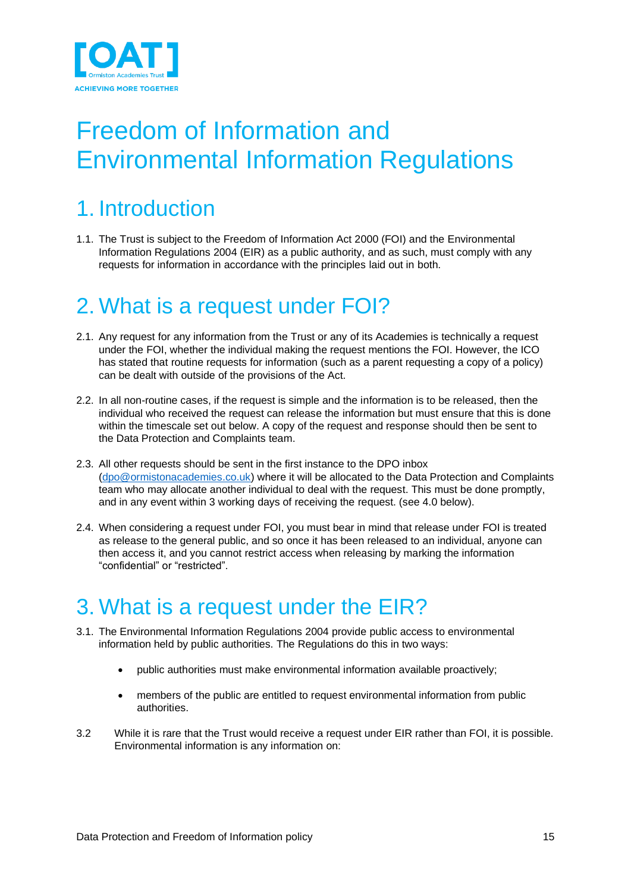

# <span id="page-14-0"></span>Freedom of Information and Environmental Information Regulations

## <span id="page-14-1"></span>1. Introduction

1.1. The Trust is subject to the Freedom of Information Act 2000 (FOI) and the Environmental Information Regulations 2004 (EIR) as a public authority, and as such, must comply with any requests for information in accordance with the principles laid out in both.

### <span id="page-14-2"></span>2. What is a request under FOI?

- 2.1. Any request for any information from the Trust or any of its Academies is technically a request under the FOI, whether the individual making the request mentions the FOI. However, the ICO has stated that routine requests for information (such as a parent requesting a copy of a policy) can be dealt with outside of the provisions of the Act.
- 2.2. In all non-routine cases, if the request is simple and the information is to be released, then the individual who received the request can release the information but must ensure that this is done within the timescale set out below. A copy of the request and response should then be sent to the Data Protection and Complaints team.
- 2.3. All other requests should be sent in the first instance to the DPO inbox [\(dpo@ormistonacademies.co.uk\)](mailto:dpo@ormistonacademies.co.uk) where it will be allocated to the Data Protection and Complaints team who may allocate another individual to deal with the request. This must be done promptly, and in any event within 3 working days of receiving the request. (see 4.0 below).
- 2.4. When considering a request under FOI, you must bear in mind that release under FOI is treated as release to the general public, and so once it has been released to an individual, anyone can then access it, and you cannot restrict access when releasing by marking the information "confidential" or "restricted".

## <span id="page-14-3"></span>3. What is a request under the EIR?

- 3.1. The Environmental Information Regulations 2004 provide public access to environmental information held by public authorities. The Regulations do this in two ways:
	- public authorities must make environmental information available proactively;
	- members of the public are entitled to request environmental information from public authorities.
- 3.2 While it is rare that the Trust would receive a request under EIR rather than FOI, it is possible. Environmental information is any information on: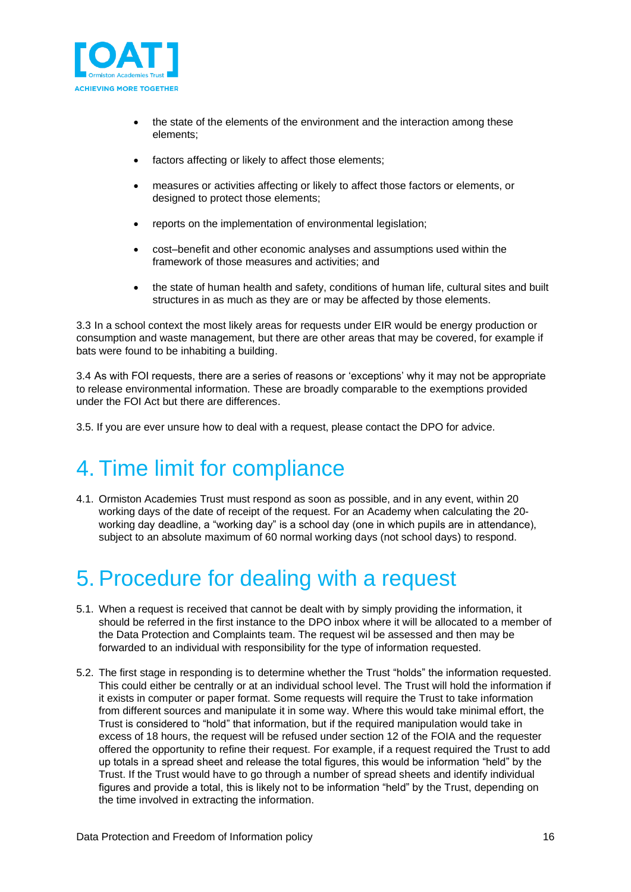

- the state of the elements of the environment and the interaction among these elements;
- factors affecting or likely to affect those elements;
- measures or activities affecting or likely to affect those factors or elements, or designed to protect those elements;
- reports on the implementation of environmental legislation;
- cost–benefit and other economic analyses and assumptions used within the framework of those measures and activities; and
- the state of human health and safety, conditions of human life, cultural sites and built structures in as much as they are or may be affected by those elements.

3.3 In a school context the most likely areas for requests under EIR would be energy production or consumption and waste management, but there are other areas that may be covered, for example if bats were found to be inhabiting a building.

3.4 As with FOI requests, there are a series of reasons or 'exceptions' why it may not be appropriate to release environmental information. These are broadly comparable to the exemptions provided under the FOI Act but there are differences.

3.5. If you are ever unsure how to deal with a request, please contact the DPO for advice.

### <span id="page-15-0"></span>4. Time limit for compliance

4.1. Ormiston Academies Trust must respond as soon as possible, and in any event, within 20 working days of the date of receipt of the request. For an Academy when calculating the 20 working day deadline, a "working day" is a school day (one in which pupils are in attendance), subject to an absolute maximum of 60 normal working days (not school days) to respond.

## <span id="page-15-1"></span>5. Procedure for dealing with a request

- 5.1. When a request is received that cannot be dealt with by simply providing the information, it should be referred in the first instance to the DPO inbox where it will be allocated to a member of the Data Protection and Complaints team. The request wil be assessed and then may be forwarded to an individual with responsibility for the type of information requested.
- 5.2. The first stage in responding is to determine whether the Trust "holds" the information requested. This could either be centrally or at an individual school level. The Trust will hold the information if it exists in computer or paper format. Some requests will require the Trust to take information from different sources and manipulate it in some way. Where this would take minimal effort, the Trust is considered to "hold" that information, but if the required manipulation would take in excess of 18 hours, the request will be refused under section 12 of the FOIA and the requester offered the opportunity to refine their request. For example, if a request required the Trust to add up totals in a spread sheet and release the total figures, this would be information "held" by the Trust. If the Trust would have to go through a number of spread sheets and identify individual figures and provide a total, this is likely not to be information "held" by the Trust, depending on the time involved in extracting the information.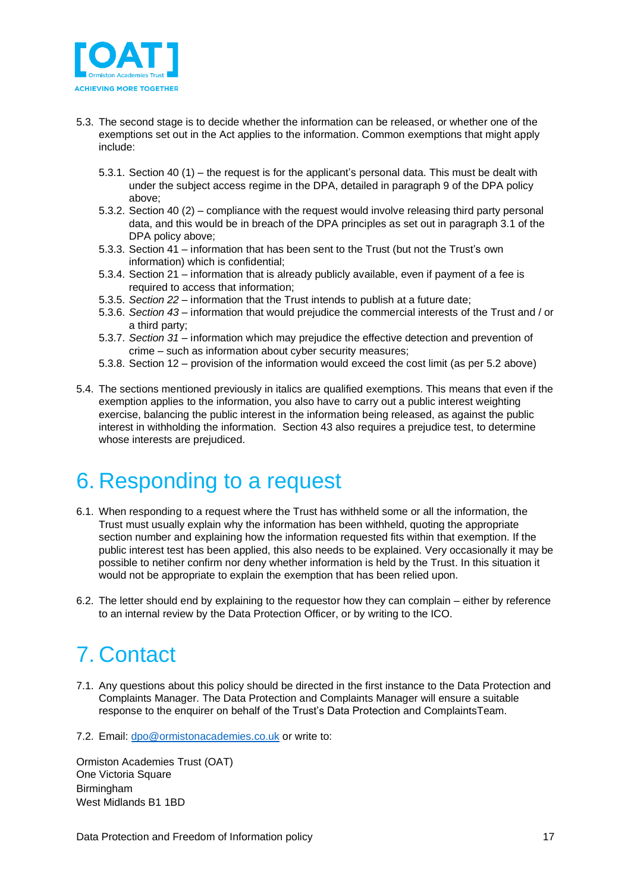

- 5.3. The second stage is to decide whether the information can be released, or whether one of the exemptions set out in the Act applies to the information. Common exemptions that might apply include:
	- 5.3.1. Section 40 (1) the request is for the applicant's personal data. This must be dealt with under the subject access regime in the DPA, detailed in paragraph 9 of the DPA policy above;
	- 5.3.2. Section 40 (2) compliance with the request would involve releasing third party personal data, and this would be in breach of the DPA principles as set out in paragraph 3.1 of the DPA policy above;
	- 5.3.3. Section 41 information that has been sent to the Trust (but not the Trust's own information) which is confidential;
	- 5.3.4. Section 21 information that is already publicly available, even if payment of a fee is required to access that information;
	- 5.3.5. *Section 22* information that the Trust intends to publish at a future date;
	- 5.3.6. *Section 43* information that would prejudice the commercial interests of the Trust and / or a third party;
	- 5.3.7. *Section 31* information which may prejudice the effective detection and prevention of crime – such as information about cyber security measures;
	- 5.3.8. Section 12 provision of the information would exceed the cost limit (as per 5.2 above)
- 5.4. The sections mentioned previously in italics are qualified exemptions. This means that even if the exemption applies to the information, you also have to carry out a public interest weighting exercise, balancing the public interest in the information being released, as against the public interest in withholding the information. Section 43 also requires a prejudice test, to determine whose interests are prejudiced.

### <span id="page-16-0"></span>6. Responding to a request

- 6.1. When responding to a request where the Trust has withheld some or all the information, the Trust must usually explain why the information has been withheld, quoting the appropriate section number and explaining how the information requested fits within that exemption. If the public interest test has been applied, this also needs to be explained. Very occasionally it may be possible to netiher confirm nor deny whether information is held by the Trust. In this situation it would not be appropriate to explain the exemption that has been relied upon.
- 6.2. The letter should end by explaining to the requestor how they can complain either by reference to an internal review by the Data Protection Officer, or by writing to the ICO.

## <span id="page-16-1"></span>7. Contact

- 7.1. Any questions about this policy should be directed in the first instance to the Data Protection and Complaints Manager. The Data Protection and Complaints Manager will ensure a suitable response to the enquirer on behalf of the Trust's Data Protection and ComplaintsTeam.
- 7.2. Email: [dpo@ormistonacademies.co.uk](mailto:dpo@ormistonacademies.co.uk) or write to:

Ormiston Academies Trust (OAT) One Victoria Square Birmingham West Midlands B1 1BD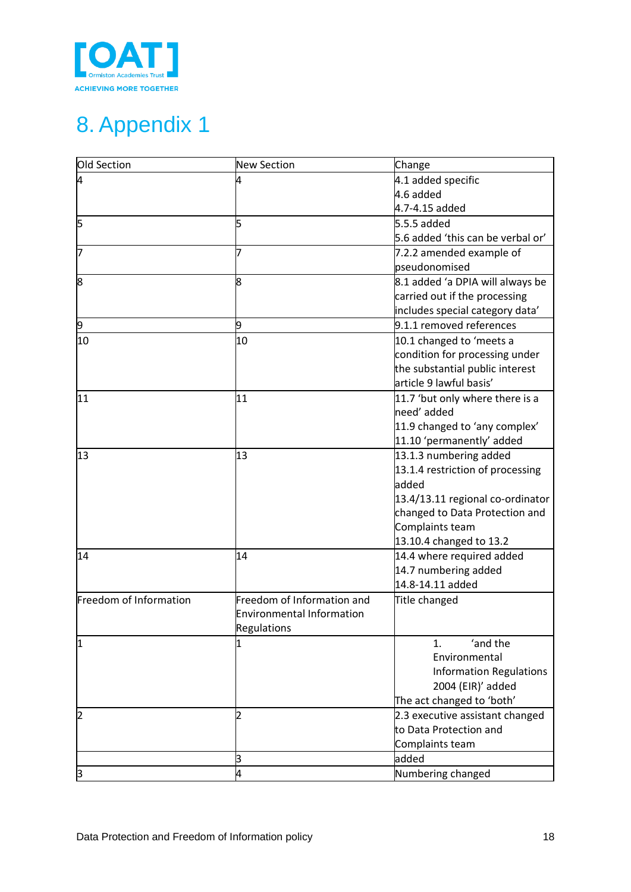

# <span id="page-17-0"></span>8. Appendix 1

| Old Section            | <b>New Section</b>               | Change                            |
|------------------------|----------------------------------|-----------------------------------|
| 14                     |                                  | 4.1 added specific                |
|                        |                                  | 4.6 added                         |
|                        |                                  | 4.7-4.15 added                    |
| ļ5                     | l5                               | 5.5.5 added                       |
|                        |                                  | 5.6 added 'this can be verbal or' |
| 17                     |                                  | 7.2.2 amended example of          |
|                        |                                  | pseudonomised                     |
| 8                      | 8                                | 8.1 added 'a DPIA will always be  |
|                        |                                  | carried out if the processing     |
|                        |                                  | includes special category data'   |
| þ                      | þ,                               | 9.1.1 removed references          |
| 10                     | 10                               | 10.1 changed to 'meets a          |
|                        |                                  | condition for processing under    |
|                        |                                  | the substantial public interest   |
|                        |                                  | article 9 lawful basis'           |
| 11                     | 11                               | 11.7 'but only where there is a   |
|                        |                                  | need' added                       |
|                        |                                  | 11.9 changed to 'any complex'     |
|                        |                                  | 11.10 'permanently' added         |
| 13                     | 13                               | 13.1.3 numbering added            |
|                        |                                  | 13.1.4 restriction of processing  |
|                        |                                  | added                             |
|                        |                                  | 13.4/13.11 regional co-ordinator  |
|                        |                                  | changed to Data Protection and    |
|                        |                                  | Complaints team                   |
|                        |                                  | 13.10.4 changed to 13.2           |
| 14                     | 14                               | 14.4 where required added         |
|                        |                                  | 14.7 numbering added              |
|                        |                                  | 14.8-14.11 added                  |
| Freedom of Information | Freedom of Information and       | Title changed                     |
|                        | <b>Environmental Information</b> |                                   |
|                        | Regulations                      |                                   |
| 11                     |                                  | 'and the<br>1.                    |
|                        |                                  | Environmental                     |
|                        |                                  | <b>Information Regulations</b>    |
|                        |                                  | 2004 (EIR)' added                 |
|                        |                                  | The act changed to 'both'         |
| 12                     | D                                | 2.3 executive assistant changed   |
|                        |                                  | to Data Protection and            |
|                        |                                  | Complaints team                   |
|                        | β                                | added                             |
| β                      | 4                                | Numbering changed                 |